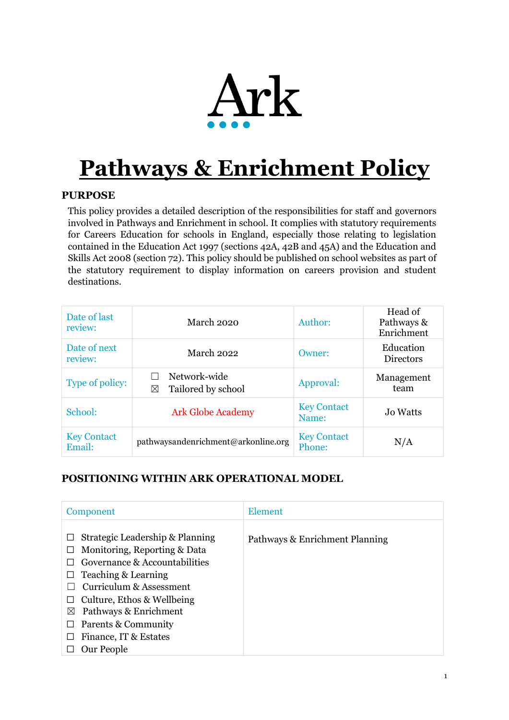

# **Pathways & Enrichment Policy**

# **PURPOSE**

This policy provides a detailed description of the responsibilities for staff and governors involved in Pathways and Enrichment in school. It complies with statutory requirements for Careers Education for schools in England, especially those relating to legislation contained in the Education Act 1997 (sections 42A, 42B and 45A) and the Education and Skills Act 2008 (section 72). This policy should be published on school websites as part of the statutory requirement to display information on careers provision and student destinations.

| Date of last<br>review:      | March 2020                              | Author:                      | Head of<br>Pathways &<br>Enrichment |
|------------------------------|-----------------------------------------|------------------------------|-------------------------------------|
| Date of next<br>review:      | March 2022                              | Owner:                       | Education<br><b>Directors</b>       |
| Type of policy:              | Network-wide<br>Tailored by school<br>⊠ | Approval:                    | Management<br>team                  |
| School:                      | <b>Ark Globe Academy</b>                | <b>Key Contact</b><br>Name:  | <b>Jo Watts</b>                     |
| <b>Key Contact</b><br>Email: | pathwaysandenrichment@arkonline.org     | <b>Key Contact</b><br>Phone: | N/A                                 |

# **POSITIONING WITHIN ARK OPERATIONAL MODEL**

| Component                                                                                                                                                                                                                     | <b>Element</b>                 |  |
|-------------------------------------------------------------------------------------------------------------------------------------------------------------------------------------------------------------------------------|--------------------------------|--|
| Strategic Leadership & Planning<br>Monitoring, Reporting & Data<br>Governance & Accountabilities<br>Teaching & Learning<br>ப<br>Curriculum & Assessment<br>Culture, Ethos & Wellbeing<br>Pathways & Enrichment<br>$\boxtimes$ | Pathways & Enrichment Planning |  |
| Parents & Community                                                                                                                                                                                                           |                                |  |
| Finance, IT & Estates                                                                                                                                                                                                         |                                |  |
| Our People                                                                                                                                                                                                                    |                                |  |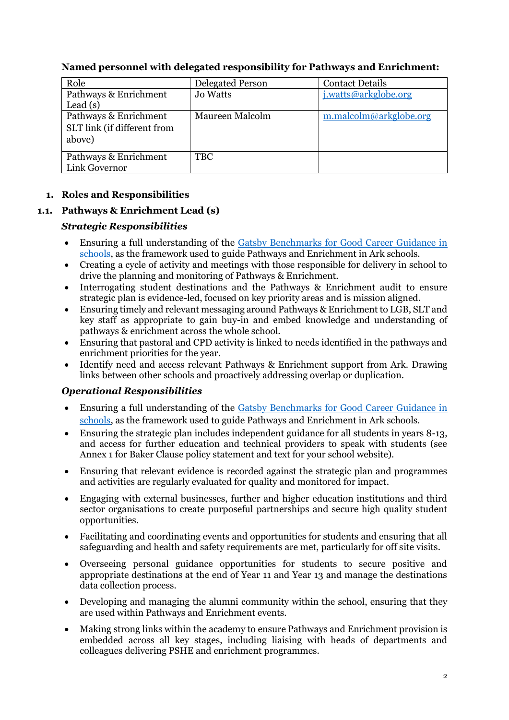| Role                        | <b>Delegated Person</b> | <b>Contact Details</b> |
|-----------------------------|-------------------------|------------------------|
| Pathways & Enrichment       | <b>Jo Watts</b>         | j.watts@arkglobe.org   |
| Lead $(s)$                  |                         |                        |
| Pathways & Enrichment       | Maureen Malcolm         | m.malcolm@arkglobe.org |
| SLT link (if different from |                         |                        |
| above)                      |                         |                        |
|                             |                         |                        |
| Pathways & Enrichment       | <b>TBC</b>              |                        |
| Link Governor               |                         |                        |

# **Named personnel with delegated responsibility for Pathways and Enrichment:**

## **1. Roles and Responsibilities**

# **1.1. Pathways & Enrichment Lead (s)**

## *Strategic Responsibilities*

- Ensuring a full understanding of the Gatsby Benchmarks for Good Career Guidance in [schools,](http://www.gatsby.org.uk/uploads/education/reports/pdf/gatsby-sir-john-holman-good-career-guidance-2014.pdf) as the framework used to guide Pathways and Enrichment in Ark schools.
- Creating a cycle of activity and meetings with those responsible for delivery in school to drive the planning and monitoring of Pathways & Enrichment.
- Interrogating student destinations and the Pathways & Enrichment audit to ensure strategic plan is evidence-led, focused on key priority areas and is mission aligned.
- Ensuring timely and relevant messaging around Pathways & Enrichment to LGB, SLT and key staff as appropriate to gain buy-in and embed knowledge and understanding of pathways & enrichment across the whole school.
- Ensuring that pastoral and CPD activity is linked to needs identified in the pathways and enrichment priorities for the year.
- Identify need and access relevant Pathways & Enrichment support from Ark. Drawing links between other schools and proactively addressing overlap or duplication.

## *Operational Responsibilities*

- Ensuring a full understanding of the [Gatsby Benchmarks for Good Career Guidance in](http://www.gatsby.org.uk/uploads/education/reports/pdf/gatsby-sir-john-holman-good-career-guidance-2014.pdf)  [schools,](http://www.gatsby.org.uk/uploads/education/reports/pdf/gatsby-sir-john-holman-good-career-guidance-2014.pdf) as the framework used to guide Pathways and Enrichment in Ark schools.
- Ensuring the strategic plan includes independent guidance for all students in years 8-13, and access for further education and technical providers to speak with students (see Annex 1 for Baker Clause policy statement and text for your school website).
- Ensuring that relevant evidence is recorded against the strategic plan and programmes and activities are regularly evaluated for quality and monitored for impact.
- Engaging with external businesses, further and higher education institutions and third sector organisations to create purposeful partnerships and secure high quality student opportunities.
- Facilitating and coordinating events and opportunities for students and ensuring that all safeguarding and health and safety requirements are met, particularly for off site visits.
- Overseeing personal guidance opportunities for students to secure positive and appropriate destinations at the end of Year 11 and Year 13 and manage the destinations data collection process.
- Developing and managing the alumni community within the school, ensuring that they are used within Pathways and Enrichment events.
- Making strong links within the academy to ensure Pathways and Enrichment provision is embedded across all key stages, including liaising with heads of departments and colleagues delivering PSHE and enrichment programmes.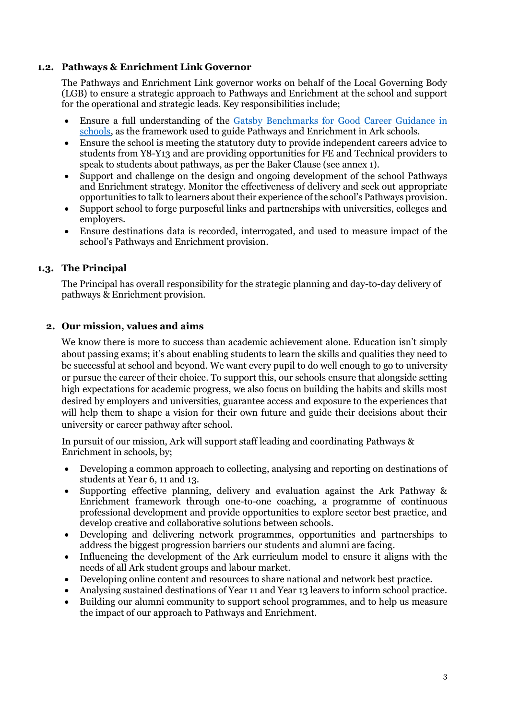#### **1.2. Pathways & Enrichment Link Governor**

The Pathways and Enrichment Link governor works on behalf of the Local Governing Body (LGB) to ensure a strategic approach to Pathways and Enrichment at the school and support for the operational and strategic leads. Key responsibilities include;

- Ensure a full understanding of the [Gatsby Benchmarks for Good Career Guidance in](http://www.gatsby.org.uk/uploads/education/reports/pdf/gatsby-sir-john-holman-good-career-guidance-2014.pdf)  [schools,](http://www.gatsby.org.uk/uploads/education/reports/pdf/gatsby-sir-john-holman-good-career-guidance-2014.pdf) as the framework used to guide Pathways and Enrichment in Ark schools.
- Ensure the school is meeting the statutory duty to provide independent careers advice to students from Y8-Y13 and are providing opportunities for FE and Technical providers to speak to students about pathways, as per the Baker Clause (see annex 1).
- Support and challenge on the design and ongoing development of the school Pathways and Enrichment strategy. Monitor the effectiveness of delivery and seek out appropriate opportunities to talk to learners about their experience of the school's Pathways provision.
- Support school to forge purposeful links and partnerships with universities, colleges and employers.
- Ensure destinations data is recorded, interrogated, and used to measure impact of the school's Pathways and Enrichment provision.

#### **1.3. The Principal**

The Principal has overall responsibility for the strategic planning and day-to-day delivery of pathways & Enrichment provision.

#### **2. Our mission, values and aims**

We know there is more to success than academic achievement alone. Education isn't simply about passing exams; it's about enabling students to learn the skills and qualities they need to be successful at school and beyond. We want every pupil to do well enough to go to university or pursue the career of their choice. To support this, our schools ensure that alongside setting high expectations for academic progress, we also focus on building the habits and skills most desired by employers and universities, guarantee access and exposure to the experiences that will help them to shape a vision for their own future and guide their decisions about their university or career pathway after school.

In pursuit of our mission, Ark will support staff leading and coordinating Pathways & Enrichment in schools, by;

- Developing a common approach to collecting, analysing and reporting on destinations of students at Year 6, 11 and 13.
- Supporting effective planning, delivery and evaluation against the Ark Pathway & Enrichment framework through one-to-one coaching, a programme of continuous professional development and provide opportunities to explore sector best practice, and develop creative and collaborative solutions between schools.
- Developing and delivering network programmes, opportunities and partnerships to address the biggest progression barriers our students and alumni are facing.
- Influencing the development of the Ark curriculum model to ensure it aligns with the needs of all Ark student groups and labour market.
- Developing online content and resources to share national and network best practice.
- Analysing sustained destinations of Year 11 and Year 13 leavers to inform school practice.
- Building our alumni community to support school programmes, and to help us measure the impact of our approach to Pathways and Enrichment.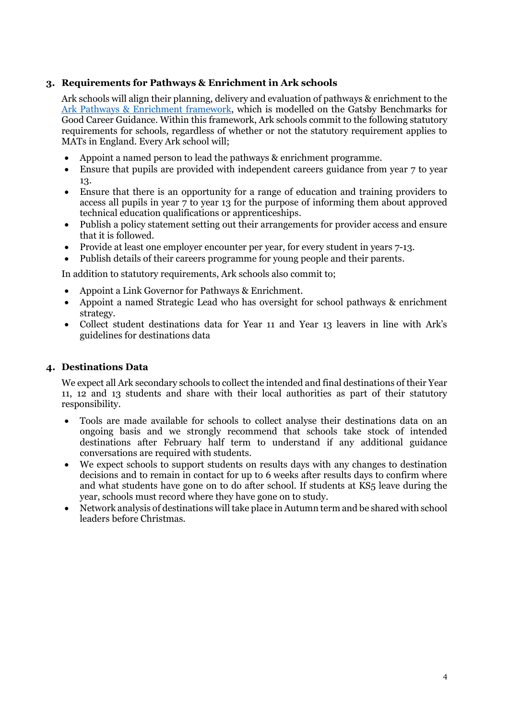## **3. Requirements for Pathways & Enrichment in Ark schools**

Ark schools will align their planning, delivery and evaluation of pathways & enrichment to the [Ark Pathways & Enrichment framework,](https://arkschools.sharepoint.com/ArkNetCentral/arkdot/enrichment/Pathways%20%20Enrichment%20Planning/Forms/AllItems.aspx?id=%2FArkNetCentral%2Farkdot%2Fenrichment%2FPathways%20%20Enrichment%20Planning%2FFrameworks%20and%20planning%20templates%2FArk%20Pathways%20%26%20Enrichment%20audit%20%28Secondary%29%2Epdf&parent=%2FArkNetCentral%2Farkdot%2Fenrichment%2FPathways%20%20Enrichment%20Planning%2FFrameworks%20and%20planning%20templates) which is modelled on the Gatsby Benchmarks for Good Career Guidance. Within this framework, Ark schools commit to the following statutory requirements for schools, regardless of whether or not the statutory requirement applies to MATs in England. Every Ark school will;

- Appoint a named person to lead the pathways & enrichment programme.
- Ensure that pupils are provided with independent careers guidance from year 7 to year 13.
- Ensure that there is an opportunity for a range of education and training providers to access all pupils in year 7 to year 13 for the purpose of informing them about approved technical education qualifications or apprenticeships.
- Publish a policy statement setting out their arrangements for provider access and ensure that it is followed.
- Provide at least one employer encounter per year, for every student in years 7-13.
- Publish details of their careers programme for young people and their parents.

In addition to statutory requirements, Ark schools also commit to;

- Appoint a Link Governor for Pathways & Enrichment.
- Appoint a named Strategic Lead who has oversight for school pathways & enrichment strategy.
- Collect student destinations data for Year 11 and Year 13 leavers in line with Ark's guidelines for destinations data

## **4. Destinations Data**

We expect all Ark secondary schools to collect the intended and final destinations of their Year 11, 12 and 13 students and share with their local authorities as part of their statutory responsibility.

- Tools are made available for schools to collect analyse their destinations data on an ongoing basis and we strongly recommend that schools take stock of intended destinations after February half term to understand if any additional guidance conversations are required with students.
- We expect schools to support students on results days with any changes to destination decisions and to remain in contact for up to 6 weeks after results days to confirm where and what students have gone on to do after school. If students at KS<sub>5</sub> leave during the year, schools must record where they have gone on to study.
- Network analysis of destinations will take place in Autumn term and be shared with school leaders before Christmas.